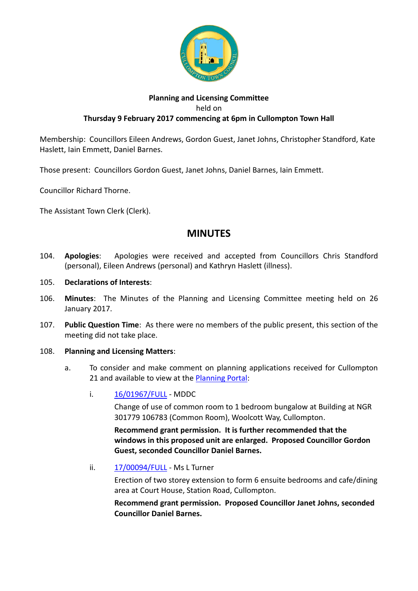

## **Planning and Licensing Committee** held on **Thursday 9 February 2017 commencing at 6pm in Cullompton Town Hall**

Membership: Councillors Eileen Andrews, Gordon Guest, Janet Johns, Christopher Standford, Kate Haslett, Iain Emmett, Daniel Barnes.

Those present: Councillors Gordon Guest, Janet Johns, Daniel Barnes, Iain Emmett.

Councillor Richard Thorne.

The Assistant Town Clerk (Clerk).

## **MINUTES**

- 104. **Apologies**: Apologies were received and accepted from Councillors Chris Standford (personal), Eileen Andrews (personal) and Kathryn Haslett (illness).
- 105. **Declarations of Interests**:
- 106. **Minutes**: The Minutes of the Planning and Licensing Committee meeting held on 26 January 2017.
- 107. **Public Question Time**: As there were no members of the public present, this section of the meeting did not take place.

## 108. **Planning and Licensing Matters**:

- a. To consider and make comment on planning applications received for Cullompton 21 and available to view at the [Planning Portal:](https://planning.middevon.gov.uk/online-applications/applicationDetails.do?activeTab=documents&keyVal=OG45QSKS07T00)
	- i. [16/01967/FULL](https://planning.middevon.gov.uk/online-applications/applicationDetails.do?activeTab=documents&keyVal=OIMUQHKS07T00) MDDC

Change of use of common room to 1 bedroom bungalow at Building at NGR 301779 106783 (Common Room), Woolcott Way, Cullompton.

**Recommend grant permission. It is further recommended that the windows in this proposed unit are enlarged. Proposed Councillor Gordon Guest, seconded Councillor Daniel Barnes.**

ii. [17/00094/FULL](https://planning.middevon.gov.uk/online-applications/applicationDetails.do?activeTab=documents&keyVal=OK0RUMKS05K00) - Ms L Turner

Erection of two storey extension to form 6 ensuite bedrooms and cafe/dining area at Court House, Station Road, Cullompton.

**Recommend grant permission. Proposed Councillor Janet Johns, seconded Councillor Daniel Barnes.**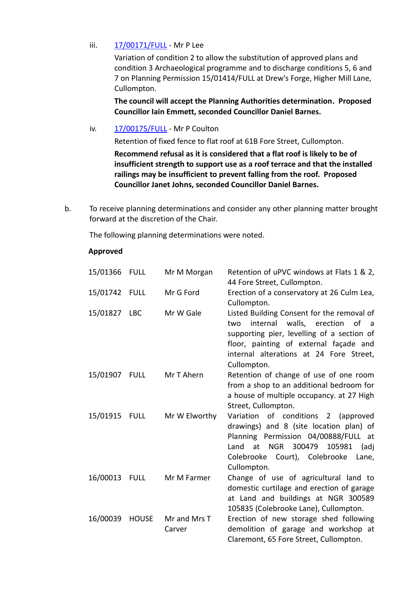iii. [17/00171/FULL](https://planning.middevon.gov.uk/online-applications/applicationDetails.do?activeTab=documents&keyVal=OKP2ZMKS05K00) - Mr P Lee

Variation of condition 2 to allow the substitution of approved plans and condition 3 Archaeological programme and to discharge conditions 5, 6 and 7 on Planning Permission 15/01414/FULL at Drew's Forge, Higher Mill Lane, Cullompton.

**The council will accept the Planning Authorities determination. Proposed Councillor Iain Emmett, seconded Councillor Daniel Barnes.**

iv. [17/00175/FULL](https://planning.middevon.gov.uk/online-applications/applicationDetails.do?activeTab=documents&keyVal=OKPDOZKS04G00) - Mr P Coulton

Retention of fixed fence to flat roof at 61B Fore Street, Cullompton.

**Recommend refusal as it is considered that a flat roof is likely to be of insufficient strength to support use as a roof terrace and that the installed railings may be insufficient to prevent falling from the roof. Proposed Councillor Janet Johns, seconded Councillor Daniel Barnes.**

b. To receive planning determinations and consider any other planning matter brought forward at the discretion of the Chair.

The following planning determinations were noted.

## **Approved**

| 15/01366 FULL |              | Mr M Morgan            | Retention of uPVC windows at Flats 1 & 2,<br>44 Fore Street, Cullompton.                                                                                                                                                                     |
|---------------|--------------|------------------------|----------------------------------------------------------------------------------------------------------------------------------------------------------------------------------------------------------------------------------------------|
| 15/01742 FULL |              | Mr G Ford              | Erection of a conservatory at 26 Culm Lea,<br>Cullompton.                                                                                                                                                                                    |
| 15/01827 LBC  |              | Mr W Gale              | Listed Building Consent for the removal of<br>internal walls, erection<br>two<br>0f<br>a -<br>supporting pier, levelling of a section of<br>floor, painting of external façade and<br>internal alterations at 24 Fore Street,<br>Cullompton. |
| 15/01907 FULL |              | Mr T Ahern             | Retention of change of use of one room<br>from a shop to an additional bedroom for<br>a house of multiple occupancy. at 27 High<br>Street, Cullompton.                                                                                       |
| 15/01915      | <b>FULL</b>  | Mr W Elworthy          | Variation of conditions 2 (approved<br>drawings) and 8 (site location plan) of<br>Planning Permission 04/00888/FULL at<br>Land at NGR 300479<br>105981<br>(adj<br>Colebrooke Court), Colebrooke<br>Lane,<br>Cullompton.                      |
| 16/00013 FULL |              | Mr M Farmer            | Change of use of agricultural land to<br>domestic curtilage and erection of garage<br>at Land and buildings at NGR 300589<br>105835 (Colebrooke Lane), Cullompton.                                                                           |
| 16/00039      | <b>HOUSE</b> | Mr and Mrs T<br>Carver | Erection of new storage shed following<br>demolition of garage and workshop at<br>Claremont, 65 Fore Street, Cullompton.                                                                                                                     |